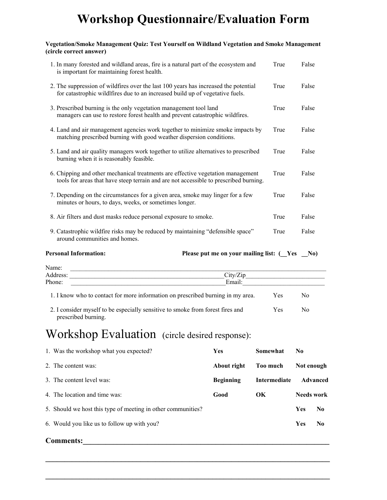# **Workshop Questionnaire/Evaluation Form**

#### **Vegetation/Smoke Management Quiz: Test Yourself on Wildland Vegetation and Smoke Management (circle correct answer)**

| 1. In many forested and wildland areas, fire is a natural part of the ecosystem and<br>is important for maintaining forest health.                                       | True | False |
|--------------------------------------------------------------------------------------------------------------------------------------------------------------------------|------|-------|
| 2. The suppression of wildfires over the last 100 years has increased the potential<br>for catastrophic wildlfires due to an increased build up of vegetative fuels.     | True | False |
| 3. Prescribed burning is the only vegetation management tool land<br>managers can use to restore forest health and prevent catastrophic wildfires.                       | True | False |
| 4. Land and air management agencies work together to minimize smoke impacts by<br>matching prescribed burning with good weather dispersion conditions.                   | True | False |
| 5. Land and air quality managers work together to utilize alternatives to prescribed<br>burning when it is reasonably feasible.                                          | True | False |
| 6. Chipping and other mechanical treatments are effective vegetation management<br>tools for areas that have steep terrain and are not accessible to prescribed burning. | True | False |
| 7. Depending on the circumstances for a given area, smoke may linger for a few<br>minutes or hours, to days, weeks, or sometimes longer.                                 | True | False |
| 8. Air filters and dust masks reduce personal exposure to smoke.                                                                                                         | True | False |
| 9. Catastrophic wildfire risks may be reduced by maintaining "defensible space"<br>around communities and homes.                                                         | True | False |

**Personal Information:** Please put me on your mailing list:  $(Yes \t No)$ 

| Name:    |                                                                                 |     |    |  |
|----------|---------------------------------------------------------------------------------|-----|----|--|
| Address: | City/Z                                                                          |     |    |  |
| Phone:   | Email:                                                                          |     |    |  |
|          | 1. I know who to contact for more information on prescribed burning in my area. | Yes | Nο |  |

2. I consider myself to be especially sensitive to smoke from forest fires and Yes No prescribed burning.

### Workshop Evaluation (circle desired response):

| 1. Was the workshop what you expected?                       | <b>Yes</b>       | Somewhat     | N <sub>0</sub>    |                |
|--------------------------------------------------------------|------------------|--------------|-------------------|----------------|
| 2. The content was:                                          | About right      | Too much     | Not enough        |                |
| 3. The content level was:                                    | <b>Beginning</b> | Intermediate |                   | Advanced       |
| 4. The location and time was:                                | Good             | $\alpha$     | <b>Needs work</b> |                |
| 5. Should we host this type of meeting in other communities? |                  |              | <b>Yes</b>        | No.            |
| 6. Would you like us to follow up with you?                  |                  |              | Yes               | N <sub>0</sub> |

 $\mathcal{L}_\mathcal{L} = \mathcal{L}_\mathcal{L} = \mathcal{L}_\mathcal{L} = \mathcal{L}_\mathcal{L} = \mathcal{L}_\mathcal{L} = \mathcal{L}_\mathcal{L} = \mathcal{L}_\mathcal{L} = \mathcal{L}_\mathcal{L} = \mathcal{L}_\mathcal{L} = \mathcal{L}_\mathcal{L} = \mathcal{L}_\mathcal{L} = \mathcal{L}_\mathcal{L} = \mathcal{L}_\mathcal{L} = \mathcal{L}_\mathcal{L} = \mathcal{L}_\mathcal{L} = \mathcal{L}_\mathcal{L} = \mathcal{L}_\mathcal{L}$ 

 $\mathcal{L} = \{ \mathcal{L} \mathcal{L} \mathcal{L} \mathcal{L} \mathcal{L} \mathcal{L} \mathcal{L} \mathcal{L} \mathcal{L} \mathcal{L} \mathcal{L} \mathcal{L} \mathcal{L} \mathcal{L} \mathcal{L} \mathcal{L} \mathcal{L} \mathcal{L} \mathcal{L} \mathcal{L} \mathcal{L} \mathcal{L} \mathcal{L} \mathcal{L} \mathcal{L} \mathcal{L} \mathcal{L} \mathcal{L} \mathcal{L} \mathcal{L} \mathcal{L} \mathcal{L} \mathcal{L} \mathcal{L} \mathcal{L} \$ 

#### **Comments:\_\_\_\_\_\_\_\_\_\_\_\_\_\_\_\_\_\_\_\_\_\_\_\_\_\_\_\_\_\_\_\_\_\_\_\_\_\_\_\_\_\_\_\_\_\_\_\_\_\_\_\_\_\_\_\_\_\_\_\_\_\_\_\_\_**